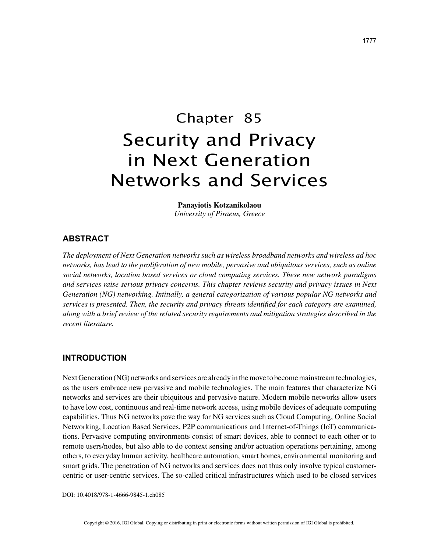# Chapter 85 Security and Privacy in Next Generation Networks and Services

**Panayiotis Kotzanikolaou** *University of Piraeus, Greece*

## **ABSTRACT**

*The deployment of Next Generation networks such as wireless broadband networks and wireless ad hoc networks, has lead to the proliferation of new mobile, pervasive and ubiquitous services, such as online social networks, location based services or cloud computing services. These new network paradigms and services raise serious privacy concerns. This chapter reviews security and privacy issues in Next Generation (NG) networking. Intitially, a general categorization of various popular NG networks and services is presented. Then, the security and privacy threats identified for each category are examined, along with a brief review of the related security requirements and mitigation strategies described in the recent literature.*

# **INTRODUCTION**

Next Generation (NG) networks and services are already in the move to become mainstream technologies, as the users embrace new pervasive and mobile technologies. The main features that characterize NG networks and services are their ubiquitous and pervasive nature. Modern mobile networks allow users to have low cost, continuous and real-time network access, using mobile devices of adequate computing capabilities. Thus NG networks pave the way for NG services such as Cloud Computing, Online Social Networking, Location Based Services, P2P communications and Internet-of-Things (IoT) communications. Pervasive computing environments consist of smart devices, able to connect to each other or to remote users/nodes, but also able to do context sensing and/or actuation operations pertaining, among others, to everyday human activity, healthcare automation, smart homes, environmental monitoring and smart grids. The penetration of NG networks and services does not thus only involve typical customercentric or user-centric services. The so-called critical infrastructures which used to be closed services

DOI: 10.4018/978-1-4666-9845-1.ch085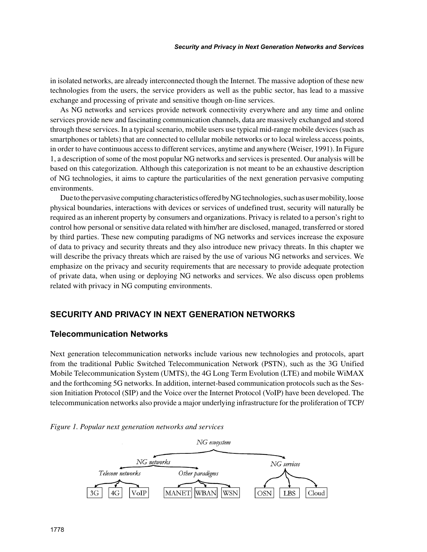in isolated networks, are already interconnected though the Internet. The massive adoption of these new technologies from the users, the service providers as well as the public sector, has lead to a massive exchange and processing of private and sensitive though on-line services.

As NG networks and services provide network connectivity everywhere and any time and online services provide new and fascinating communication channels, data are massively exchanged and stored through these services. In a typical scenario, mobile users use typical mid-range mobile devices (such as smartphones or tablets) that are connected to cellular mobile networks or to local wireless access points, in order to have continuous access to different services, anytime and anywhere (Weiser, 1991). In Figure 1, a description of some of the most popular NG networks and services is presented. Our analysis will be based on this categorization. Although this categorization is not meant to be an exhaustive description of NG technologies, it aims to capture the particularities of the next generation pervasive computing environments.

Due to the pervasive computing characteristics offered by NG technologies, such as user mobility, loose physical boundaries, interactions with devices or services of undefined trust, security will naturally be required as an inherent property by consumers and organizations. Privacy is related to a person's right to control how personal or sensitive data related with him/her are disclosed, managed, transferred or stored by third parties. These new computing paradigms of NG networks and services increase the exposure of data to privacy and security threats and they also introduce new privacy threats. In this chapter we will describe the privacy threats which are raised by the use of various NG networks and services. We emphasize on the privacy and security requirements that are necessary to provide adequate protection of private data, when using or deploying NG networks and services. We also discuss open problems related with privacy in NG computing environments.

# **SECURITY AND PRIVACY IN NEXT GENERATION NETWORKS**

### **Telecommunication Networks**

Next generation telecommunication networks include various new technologies and protocols, apart from the traditional Public Switched Telecommunication Network (PSTN), such as the 3G Unified Mobile Telecommunication System (UMTS), the 4G Long Term Evolution (LTE) and mobile WiMAX and the forthcoming 5G networks. In addition, internet-based communication protocols such as the Session Initiation Protocol (SIP) and the Voice over the Internet Protocol (VoIP) have been developed. The telecommunication networks also provide a major underlying infrastructure for the proliferation of TCP/